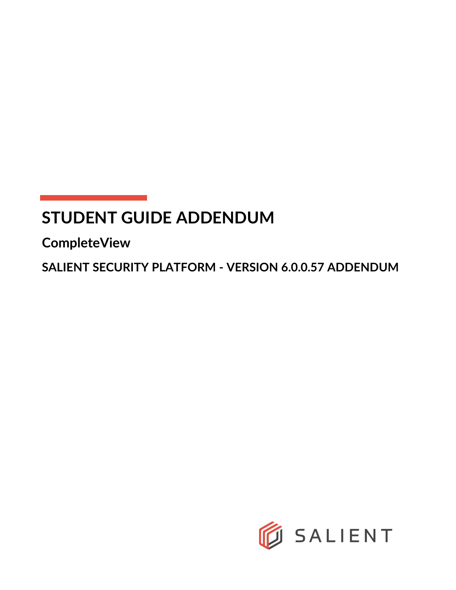# **STUDENT GUIDE ADDENDUM**

**CompleteView**

**SALIENT SECURITY PLATFORM - VERSION 6.0.0.57 ADDENDUM**

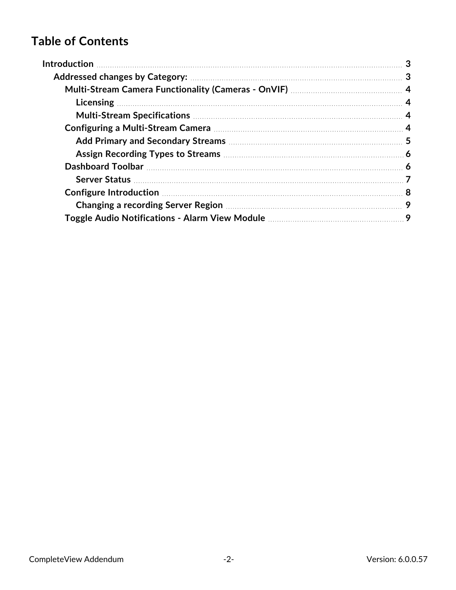# **Table of Contents**

| Changing a recording Server Region <b>Manual Access 2018</b> 2014 2014 |  |
|------------------------------------------------------------------------|--|
|                                                                        |  |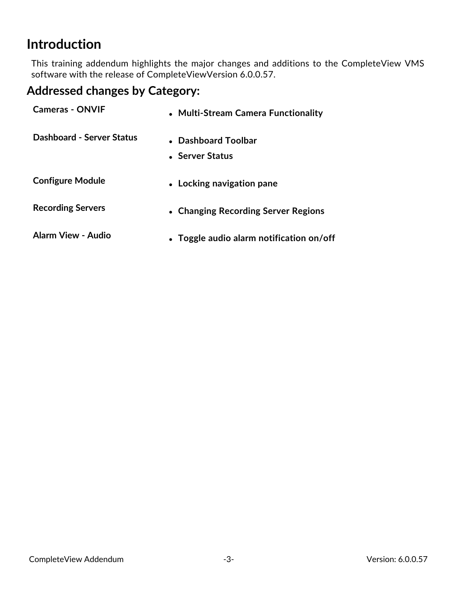# <span id="page-2-0"></span>**Introduction**

This training addendum highlights the major changes and additions to the CompleteView VMS software with the release of CompleteViewVersion 6.0.0.57.

# <span id="page-2-1"></span>**Addressed changes by Category:**

| <b>Cameras - ONVIF</b>    | • Multi-Stream Camera Functionality      |
|---------------------------|------------------------------------------|
| Dashboard - Server Status | • Dashboard Toolbar<br>• Server Status   |
| <b>Configure Module</b>   | • Locking navigation pane                |
| <b>Recording Servers</b>  | • Changing Recording Server Regions      |
| Alarm View - Audio        | • Toggle audio alarm notification on/off |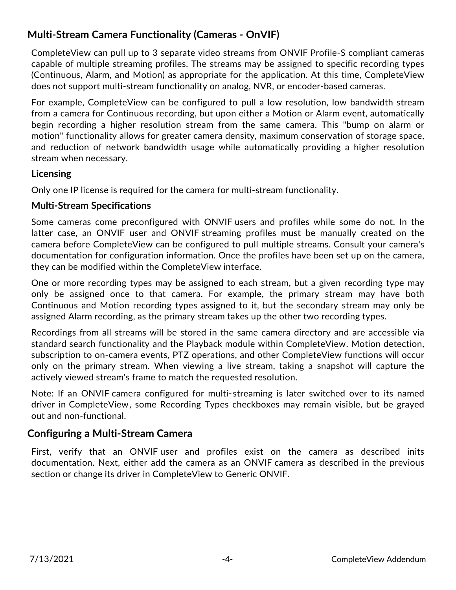# <span id="page-3-0"></span>**Multi-Stream Camera Functionality (Cameras - OnVIF)**

CompleteView can pull up to 3 separate video streams from ONVIF Profile-S compliant cameras capable of multiple streaming profiles. The streams may be assigned to specific recording types (Continuous, Alarm, and Motion) as appropriate for the application. At this time, CompleteView does not support multi-stream functionality on analog, NVR, or encoder-based cameras.

For example, CompleteView can be configured to pull a low resolution, low bandwidth stream from a camera for Continuous recording, but upon either a Motion or Alarm event, automatically begin recording a higher resolution stream from the same camera. This "bump on alarm or motion" functionality allows for greater camera density, maximum conservation of storage space, and reduction of network bandwidth usage while automatically providing a higher resolution stream when necessary.

#### <span id="page-3-1"></span>**Licensing**

<span id="page-3-2"></span>Only one IP license is required for the camera for multi-stream functionality.

#### **Multi-Stream Specifications**

Some cameras come preconfigured with ONVIF users and profiles while some do not. In the latter case, an ONVIF user and ONVIF streaming profiles must be manually created on the camera before CompleteView can be configured to pull multiple streams. Consult your camera's documentation for configuration information. Once the profiles have been set up on the camera, they can be modified within the CompleteView interface.

One or more recording types may be assigned to each stream, but a given recording type may only be assigned once to that camera. For example, the primary stream may have both Continuous and Motion recording types assigned to it, but the secondary stream may only be assigned Alarm recording, as the primary stream takes up the other two recording types.

Recordings from all streams will be stored in the same camera directory and are accessible via standard search functionality and the Playback module within CompleteView. Motion detection, subscription to on-camera events, PTZ operations, and other CompleteView functions will occur only on the primary stream. When viewing a live stream, taking a snapshot will capture the actively viewed stream's frame to match the requested resolution.

Note: If an ONVIF camera configured for multi-streaming is later switched over to its named driver in CompleteView, some Recording Types checkboxes may remain visible, but be grayed out and non-functional.

### <span id="page-3-3"></span>**Configuring a Multi-Stream Camera**

First, verify that an ONVIF user and profiles exist on the camera as described inits documentation. Next, either add the camera as an ONVIF camera as described in the previous section or change its driver in CompleteView to Generic ONVIF.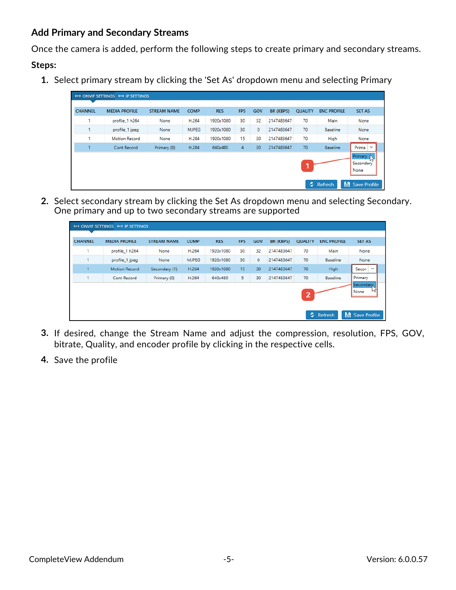#### <span id="page-4-0"></span>**Add Primary and Secondary Streams**

Once the camera is added, perform the following steps to create primary and secondary streams.

#### **Steps:**

**1.** Select primary stream by clicking the 'Set As' dropdown menu and selecting Primary

| <b>CHANNEL</b> | <b>MEDIA PROFILE</b> |                    | <b>COMP</b>  |            |                |         |                  |                | <b>ENC PROFILE</b> |                                               |
|----------------|----------------------|--------------------|--------------|------------|----------------|---------|------------------|----------------|--------------------|-----------------------------------------------|
|                |                      | <b>STREAM NAME</b> |              | <b>RES</b> | <b>FPS</b>     | GOV     | <b>BR (KBPS)</b> | <b>QUALITY</b> |                    | <b>SET AS</b>                                 |
| ٠              | profile_1 h264       | None               | H.264        | 1920x1080  | 30             | 32      | 2147483647       | 70             | Main               | None                                          |
|                | profile_1 jpeg       | None               | <b>MJPEG</b> | 1920x1080  | 30             | $\circ$ | 2147483647       | 70             | Baseline           | None                                          |
|                | <b>Motion Record</b> | None               | H.264        | 1920x1080  | 15             | 30      | 2147483647       | 70             | High               | None                                          |
|                | Cont Record          | Primary (0)        | H.264        | 640x480    | $\overline{4}$ | 30      | 2147483647       | 70             | <b>Baseline</b>    | Prima<br>$\checkmark$                         |
|                |                      |                    |              |            |                |         |                  |                |                    | Primary<br>$\mathcal{P}$<br>Secondary<br>None |

**2.** Select secondary stream by clicking the Set As dropdown menu and selecting Secondary. One primary and up to two secondary streams are supported

| profile_1 h264       | None          | H.264        | 1920x1080 | 30 | 32 | 2147483647 | 70 | Main            | None                  |
|----------------------|---------------|--------------|-----------|----|----|------------|----|-----------------|-----------------------|
| profile_1 jpeg       | None          | <b>MJPEG</b> | 1920x1080 | 30 | 0  | 2147483647 | 70 | <b>Baseline</b> | None                  |
| <b>Motion Record</b> | Secondary (1) | H.264        | 1920x1080 | 15 | 30 | 2147483647 | 70 | High            | Secon<br>$\checkmark$ |
| Cont Record          | Primary (0)   | H.264        | 640x480   | 5  | 30 | 2147483647 | 70 | <b>Baseline</b> | Primary               |
|                      |               |              |           |    |    |            |    |                 | 2                     |

- **3.** If desired, change the Stream Name and adjust the compression, resolution, FPS, GOV, bitrate, Quality, and encoder profile by clicking in the respective cells.
- **4.** Save the profile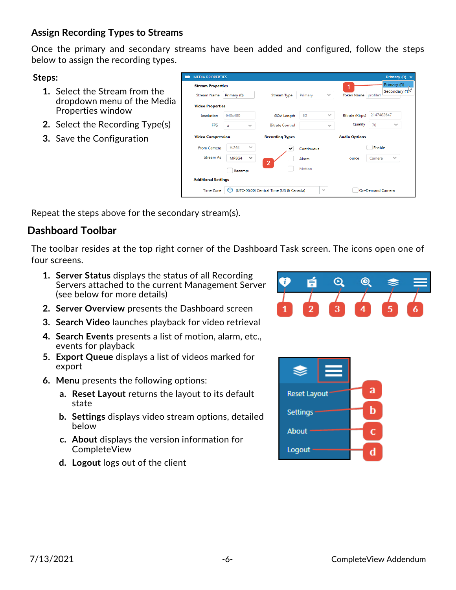### <span id="page-5-0"></span>**Assign Recording Types to Streams**

Once the primary and secondary streams have been added and configured, follow the steps below to assign the recording types.

**Steps:**

- **1.** Select the Stream from the dropdown menu of the Media Properties window
- **2.** Select the Recording Type(s)
- **3.** Save the Configuration

| <b>IVILDIA FROFERIILS</b>  |             |                                        |            |              |                      | <b>Pilliary</b> (V)                       |
|----------------------------|-------------|----------------------------------------|------------|--------------|----------------------|-------------------------------------------|
| <b>Stream Properties</b>   |             |                                        |            |              | 1                    | Primary (0)<br>Secondary (1) <sup>5</sup> |
| <b>Stream Name</b>         | Primary (0) | Stream Type                            | Primary    | $\checkmark$ | Token Name profile1  |                                           |
| <b>Video Properties</b>    |             |                                        |            |              |                      |                                           |
| <i><b>Resolution</b></i>   | 640x480     | <b>GOV Length</b>                      | 30         | $\sim$       | Bitrate (Kbps)       | 2147483647                                |
| <b>FPS</b>                 | 4           | <b>Bitrate Control</b><br>$\sim$       |            | $\sim$       | Quality              | 70<br>$\checkmark$                        |
| <b>Video Compression</b>   |             | <b>Recording Types</b>                 |            |              | <b>Audio Options</b> |                                           |
| From Camera                | H.264       | $\sim$<br>✓                            | Continuous |              |                      | Enable                                    |
| <b>Stream As</b>           | MPEG4       | $\checkmark$                           | Alarm      |              | ource                | $\checkmark$<br>Camera                    |
|                            | Recompi     | $\overline{2}$                         | Motion     |              |                      |                                           |
| <b>Additional Settings</b> |             |                                        |            |              |                      |                                           |
| <b>Time Zone</b>           |             | (UTC-06:00) Central Time (US & Canada) |            | $\checkmark$ |                      | <b>On-Demand Camera</b>                   |
|                            |             |                                        |            |              |                      |                                           |

<span id="page-5-1"></span>Repeat the steps above for the secondary stream(s).

# **Dashboard Toolbar**

The toolbar resides at the top right corner of the Dashboard Task screen. The icons open one of four screens.

- **1. Server Status** displays the status of all Recording Servers attached to the current Management Server (see below for more details)
- **2. Server Overview** presents the Dashboard screen
- **3. Search Video** launches playback for video retrieval
- **4. Search Events** presents a list of motion, alarm, etc., events for playback
- **5. Export Queue** displays a list of videos marked for export
- **6. Menu** presents the following options:
	- **a. Reset Layout** returns the layout to its default state
	- **b. Settings** displays video stream options, detailed below
	- **c. About** displays the version information for CompleteView
	- **d. Logout** logs out of the client



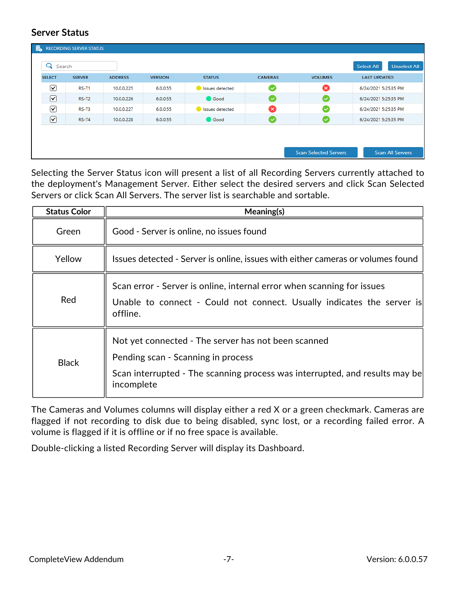#### <span id="page-6-0"></span>**Server Status**

| L €                  | <b>RECORDING SERVER STATUS</b> |                |                |                 |                |                              |                                          |
|----------------------|--------------------------------|----------------|----------------|-----------------|----------------|------------------------------|------------------------------------------|
| Q                    | Search                         |                |                |                 |                |                              | <b>Unselect All</b><br><b>Select All</b> |
| <b>SELECT</b>        | <b>SERVER</b>                  | <b>ADDRESS</b> | <b>VERSION</b> | <b>STATUS</b>   | <b>CAMERAS</b> | <b>VOLUMES</b>               | <b>LAST UPDATED</b>                      |
| ☑                    | <b>RS-T1</b>                   | 10.0.0.225     | 6.0.0.55       | Issues detected | $\bullet$      | ☎                            | 6/24/2021 5:25:35 PM                     |
| $\boxed{\mathbf{z}}$ | $RS-T2$                        | 10.0.0.226     | 6.0.0.55       | Good            | $\sim$         | CV.                          | 6/24/2021 5:25:35 PM                     |
| ☑                    | RS-T3                          | 10.0.0.227     | 6.0.0.55       | Issues detected | ☎              | ☞                            | 6/24/2021 5:25:35 PM                     |
| $\boxed{\mathbf{v}}$ | $RS-T4$                        | 10.0.0.228     | 6.0.0.55       | Good            | l v            | (✓                           | 6/24/2021 5:25:35 PM                     |
|                      |                                |                |                |                 |                |                              |                                          |
|                      |                                |                |                |                 |                |                              |                                          |
|                      |                                |                |                |                 |                | <b>Scan Selected Servers</b> | <b>Scan All Servers</b>                  |

Selecting the Server Status icon will present a list of all Recording Servers currently attached to the deployment's Management Server. Either select the desired servers and click Scan Selected Servers or click Scan All Servers. The server list is searchable and sortable.

| <b>Status Color</b> | Meaning(s)                                                                                                                                                                             |
|---------------------|----------------------------------------------------------------------------------------------------------------------------------------------------------------------------------------|
| Green               | Good - Server is online, no issues found                                                                                                                                               |
| Yellow              | Issues detected - Server is online, issues with either cameras or volumes found                                                                                                        |
| Red                 | Scan error - Server is online, internal error when scanning for issues<br>Unable to connect - Could not connect. Usually indicates the server is<br>offline.                           |
| <b>Black</b>        | Not yet connected - The server has not been scanned<br>Pending scan - Scanning in process<br>Scan interrupted - The scanning process was interrupted, and results may be<br>incomplete |

The Cameras and Volumes columns will display either a red X or a green checkmark. Cameras are flagged if not recording to disk due to being disabled, sync lost, or a recording failed error. A volume is flagged if it is offline or if no free space is available.

Double-clicking a listed Recording Server will display its Dashboard.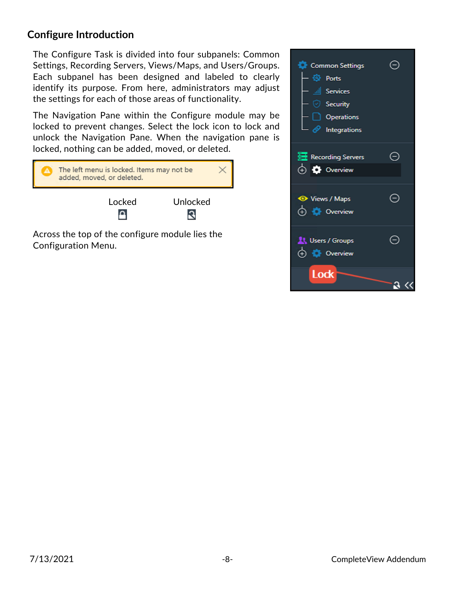### <span id="page-7-0"></span>**Configure Introduction**

The Configure Task is divided into four subpanels: Common Settings, Recording Servers, Views/Maps, and Users/Groups. Each subpanel has been designed and labeled to clearly identify its purpose. From here, administrators may adjust the settings for each of those areas of functionality.

The Navigation Pane within the Configure module may be locked to prevent changes. Select the lock icon to lock and unlock the Navigation Pane. When the navigation pane is locked, nothing can be added, moved, or deleted.

| The left menu is locked. Items may not be<br>added, moved, or deleted. |  |
|------------------------------------------------------------------------|--|
| Unlocked<br>l ocked                                                    |  |
| Across the top of the configure module lies the                        |  |

oss the top of the configure module lies the Configuration Menu.

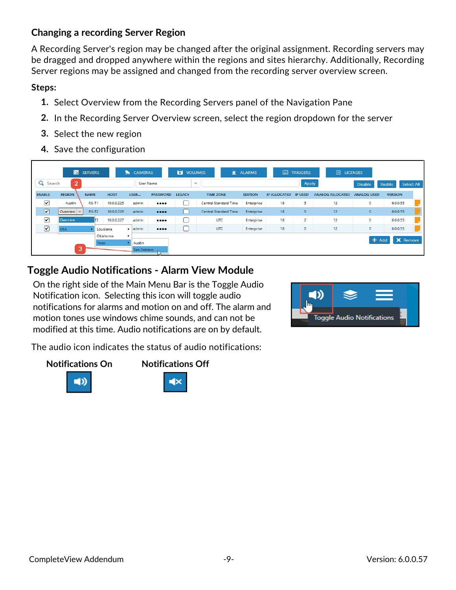### <span id="page-8-0"></span>**Changing a recording Server Region**

A Recording Server's region may be changed after the original assignment. Recording servers may be dragged and dropped anywhere within the regions and sites hierarchy. Additionally, Recording Server regions may be assigned and changed from the recording server overview screen.

#### **Steps:**

- **1.** Select Overview from the Recording Servers panel of the Navigation Pane
- **2.** In the Recording Server Overview screen, select the region dropdown for the server
- **3.** Select the new region
- **4.** Save the configuration

|                       |                                     | <b>Fo</b> SERVERS |                  | <b>CAMERAS</b><br>$\bullet$ |                                | VOLUMES       | 資                            | <b>ALARMS</b>  | 侖                    | <b>TRIGGERS</b> | 园 LICENSES              |                    |                      |
|-----------------------|-------------------------------------|-------------------|------------------|-----------------------------|--------------------------------|---------------|------------------------------|----------------|----------------------|-----------------|-------------------------|--------------------|----------------------|
| Q<br>Search           | $\mathbf{2}$                        |                   |                  |                             | <b>User Name</b>               | $\checkmark$  |                              |                |                      | Apply           |                         | <b>Disable</b>     | Select All<br>Enable |
| <b>ENABLE</b>         | <b>REGION</b>                       | <b>NAME</b>       | <b>HOST</b>      | USER                        | <b>PASSWORD</b>                | <b>LEGACY</b> | <b>TIME ZONE</b>             | <b>EDITION</b> | IP ALLOCATED IP USED |                 | <b>ANALOG ALLOCATED</b> | <b>ANALOG USED</b> | <b>VERSION</b>       |
| ☑                     | Austin                              | RS-T1             | 10.0.0.225       | admin                       | $\bullet\bullet\bullet\bullet$ |               | <b>Central Standard Time</b> | Enterprise     | 18                   | 5               | 12                      | $\circ$            | 6.0.0.55             |
| $\boldsymbol{\nabla}$ | $\vert$ Overview $\vert \vee \vert$ | <b>RS-T2</b>      | 10.0.0.226       | admin                       | $\bullet\bullet\bullet\bullet$ | a l           | <b>Central Standard Time</b> | Enterprise     | 18 <sup>1</sup>      | $\circ$         | 12                      | $\circ$            | 6.0.0.55             |
| ا⊽                    | Overview                            |                   | r3<br>10.0.0.227 | admin                       | 0000                           |               | <b>UTC</b>                   | Enterprise     | 18                   | $\overline{2}$  | 12                      | $\circ$            | 6.0.0.55             |
| $\boxed{\mathbf{z}}$  | <b>USA</b>                          |                   | Louisiana        | $\blacktriangleright$ admin | $\bullet\bullet\bullet\bullet$ |               | <b>UTC</b>                   | Enterprise     | 18                   | ٥               | 12                      | $\circ$            | 6.0.0.55             |
|                       |                                     |                   | Oklahoma         | ٠                           |                                |               |                              |                |                      |                 |                         | $-$ Add            | <b>X</b> Remove      |
|                       |                                     |                   | Texas            | Austin                      |                                |               |                              |                |                      |                 |                         |                    |                      |
|                       | 3                                   |                   |                  | San Antonio                 |                                |               |                              |                |                      |                 |                         |                    |                      |

# <span id="page-8-1"></span>**Toggle Audio Notifications - Alarm View Module**

On the right side of the Main Menu Bar is the Toggle Audio Notification icon. Selecting this icon will toggle audio notifications for alarms and motion on and off. The alarm and motion tones use windows chime sounds, and can not be modified at this time. Audio notifications are on by default.

The audio icon indicates the status of audio notifications:





- Ix